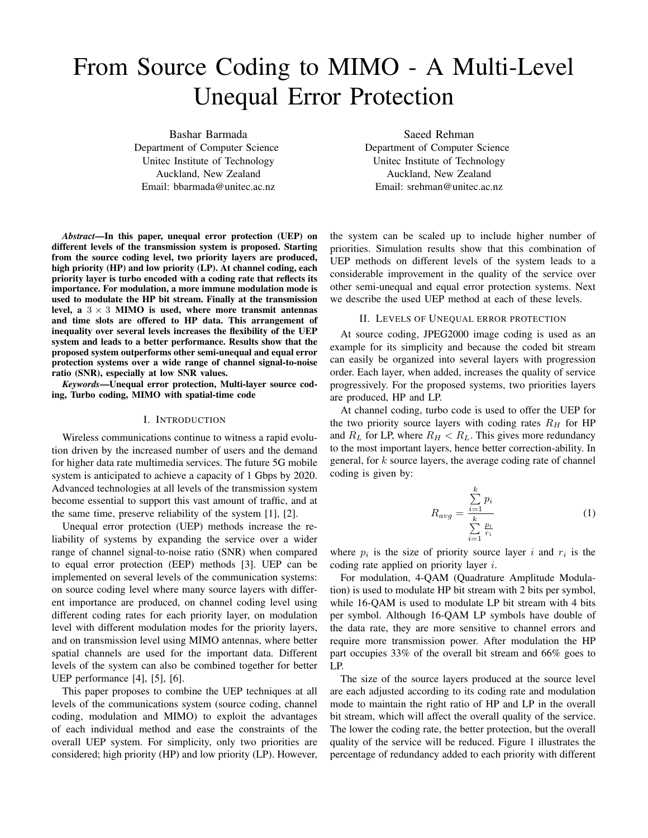# From Source Coding to MIMO - A Multi-Level Unequal Error Protection

Bashar Barmada Department of Computer Science Unitec Institute of Technology Auckland, New Zealand Email: bbarmada@unitec.ac.nz

*Abstract*—In this paper, unequal error protection (UEP) on different levels of the transmission system is proposed. Starting from the source coding level, two priority layers are produced, high priority (HP) and low priority (LP). At channel coding, each priority layer is turbo encoded with a coding rate that reflects its importance. For modulation, a more immune modulation mode is used to modulate the HP bit stream. Finally at the transmission level, a  $3 \times 3$  MIMO is used, where more transmit antennas and time slots are offered to HP data. This arrangement of inequality over several levels increases the flexibility of the UEP system and leads to a better performance. Results show that the proposed system outperforms other semi-unequal and equal error protection systems over a wide range of channel signal-to-noise ratio (SNR), especially at low SNR values.

*Keywords*—Unequal error protection, Multi-layer source coding, Turbo coding, MIMO with spatial-time code

## I. INTRODUCTION

Wireless communications continue to witness a rapid evolution driven by the increased number of users and the demand for higher data rate multimedia services. The future 5G mobile system is anticipated to achieve a capacity of 1 Gbps by 2020. Advanced technologies at all levels of the transmission system become essential to support this vast amount of traffic, and at the same time, preserve reliability of the system [1], [2].

Unequal error protection (UEP) methods increase the reliability of systems by expanding the service over a wider range of channel signal-to-noise ratio (SNR) when compared to equal error protection (EEP) methods [3]. UEP can be implemented on several levels of the communication systems: on source coding level where many source layers with different importance are produced, on channel coding level using different coding rates for each priority layer, on modulation level with different modulation modes for the priority layers, and on transmission level using MIMO antennas, where better spatial channels are used for the important data. Different levels of the system can also be combined together for better UEP performance [4], [5], [6].

This paper proposes to combine the UEP techniques at all levels of the communications system (source coding, channel coding, modulation and MIMO) to exploit the advantages of each individual method and ease the constraints of the overall UEP system. For simplicity, only two priorities are considered; high priority (HP) and low priority (LP). However,

Saeed Rehman Department of Computer Science Unitec Institute of Technology Auckland, New Zealand Email: srehman@unitec.ac.nz

the system can be scaled up to include higher number of priorities. Simulation results show that this combination of UEP methods on different levels of the system leads to a considerable improvement in the quality of the service over other semi-unequal and equal error protection systems. Next we describe the used UEP method at each of these levels.

## II. LEVELS OF UNEQUAL ERROR PROTECTION

At source coding, JPEG2000 image coding is used as an example for its simplicity and because the coded bit stream can easily be organized into several layers with progression order. Each layer, when added, increases the quality of service progressively. For the proposed systems, two priorities layers are produced, HP and LP.

At channel coding, turbo code is used to offer the UEP for the two priority source layers with coding rates  $R_H$  for HP and  $R_L$  for LP, where  $R_H < R_L$ . This gives more redundancy to the most important layers, hence better correction-ability. In general, for k source layers, the average coding rate of channel coding is given by:

$$
R_{avg} = \frac{\sum_{i=1}^{k} p_i}{\sum_{i=1}^{k} \frac{p_i}{r_i}}
$$
 (1)

where  $p_i$  is the size of priority source layer i and  $r_i$  is the coding rate applied on priority layer i.

For modulation, 4-QAM (Quadrature Amplitude Modulation) is used to modulate HP bit stream with 2 bits per symbol, while 16-QAM is used to modulate LP bit stream with 4 bits per symbol. Although 16-QAM LP symbols have double of the data rate, they are more sensitive to channel errors and require more transmission power. After modulation the HP part occupies 33% of the overall bit stream and 66% goes to LP.

The size of the source layers produced at the source level are each adjusted according to its coding rate and modulation mode to maintain the right ratio of HP and LP in the overall bit stream, which will affect the overall quality of the service. The lower the coding rate, the better protection, but the overall quality of the service will be reduced. Figure 1 illustrates the percentage of redundancy added to each priority with different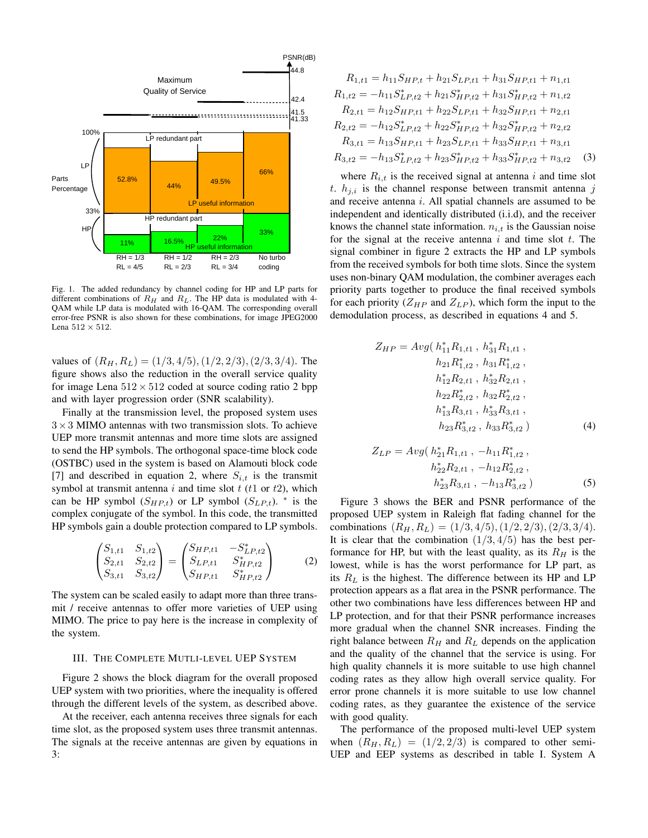

Fig. 1. The added redundancy by channel coding for HP and LP parts for different combinations of  $R_H$  and  $R_L$ . The HP data is modulated with 4-QAM while LP data is modulated with 16-QAM. The corresponding overall error-free PSNR is also shown for these combinations, for image JPEG2000 Lena  $512 \times 512$ .

values of  $(R_H, R_L) = (1/3, 4/5), (1/2, 2/3), (2/3, 3/4)$ . The figure shows also the reduction in the overall service quality for image Lena  $512 \times 512$  coded at source coding ratio 2 bpp and with layer progression order (SNR scalability).

Finally at the transmission level, the proposed system uses  $3\times3$  MIMO antennas with two transmission slots. To achieve UEP more transmit antennas and more time slots are assigned to send the HP symbols. The orthogonal space-time block code (OSTBC) used in the system is based on Alamouti block code [7] and described in equation 2, where  $S_{i,t}$  is the transmit symbol at transmit antenna  $i$  and time slot  $t$  ( $t1$  or  $t2$ ), which can be HP symbol  $(S_{HP,t})$  or LP symbol  $(S_{LP,t})$ . \* is the complex conjugate of the symbol. In this code, the transmitted HP symbols gain a double protection compared to LP symbols.

$$
\begin{pmatrix} S_{1,t1} & S_{1,t2} \\ S_{2,t1} & S_{2,t2} \\ S_{3,t1} & S_{3,t2} \end{pmatrix} = \begin{pmatrix} S_{HP,t1} & -S_{LP,t2}^* \\ S_{LP,t1} & S_{HP,t2}^* \\ S_{HP,t1} & S_{HP,t2}^* \end{pmatrix}
$$
 (2)

The system can be scaled easily to adapt more than three transmit / receive antennas to offer more varieties of UEP using MIMO. The price to pay here is the increase in complexity of the system.

### III. THE COMPLETE MUTLI-LEVEL UEP SYSTEM

Figure 2 shows the block diagram for the overall proposed UEP system with two priorities, where the inequality is offered through the different levels of the system, as described above.

At the receiver, each antenna receives three signals for each time slot, as the proposed system uses three transmit antennas. The signals at the receive antennas are given by equations in 3:

$$
R_{1,t1} = h_{11}S_{HP,t} + h_{21}S_{LP,t1} + h_{31}S_{HP,t1} + n_{1,t1}
$$
  
\n
$$
R_{1,t2} = -h_{11}S_{LP,t2}^{*} + h_{21}S_{HP,t2}^{*} + h_{31}S_{HP,t2}^{*} + n_{1,t2}
$$
  
\n
$$
R_{2,t1} = h_{12}S_{HP,t1} + h_{22}S_{LP,t1} + h_{32}S_{HP,t1} + n_{2,t1}
$$
  
\n
$$
R_{2,t2} = -h_{12}S_{LP,t2}^{*} + h_{22}S_{HP,t2}^{*} + h_{32}S_{HP,t2}^{*} + n_{2,t2}
$$
  
\n
$$
R_{3,t1} = h_{13}S_{HP,t1} + h_{23}S_{LP,t1} + h_{33}S_{HP,t1} + n_{3,t1}
$$
  
\n
$$
R_{3,t2} = -h_{13}S_{LP,t2}^{*} + h_{23}S_{HP,t2}^{*} + h_{33}S_{HP,t2}^{*} + n_{3,t2}
$$
 (3)

where  $R_{i,t}$  is the received signal at antenna i and time slot t.  $h_{i,i}$  is the channel response between transmit antenna j and receive antenna i. All spatial channels are assumed to be independent and identically distributed (i.i.d), and the receiver knows the channel state information.  $n_{i,t}$  is the Gaussian noise for the signal at the receive antenna  $i$  and time slot  $t$ . The signal combiner in figure 2 extracts the HP and LP symbols from the received symbols for both time slots. Since the system uses non-binary QAM modulation, the combiner averages each priority parts together to produce the final received symbols for each priority ( $Z_{HP}$  and  $Z_{LP}$ ), which form the input to the demodulation process, as described in equations 4 and 5.

$$
Z_{HP} = Avg\left(h_{11}^{*}R_{1,t1}, h_{31}^{*}R_{1,t1},\right)
$$

$$
h_{21}R_{1,t2}^{*}, h_{31}R_{1,t2}^{*},
$$

$$
h_{12}^{*}R_{2,t1}, h_{32}^{*}R_{2,t1},
$$

$$
h_{22}R_{2,t2}^{*}, h_{32}R_{2,t2}^{*},
$$

$$
h_{13}^{*}R_{3,t1}, h_{33}^{*}R_{3,t1},
$$

$$
h_{23}R_{3,t2}^{*}, h_{33}R_{3,t2}^{*}\right)
$$
(4)

$$
Z_{LP} = Avg\left(h_{21}^{*}R_{1,t1}, -h_{11}R_{1,t2}^{*}\right),
$$

$$
h_{22}^{*}R_{2,t1}, -h_{12}R_{2,t2}^{*}\right),
$$

$$
h_{23}^{*}R_{3,t1}, -h_{13}R_{3,t2}^{*}\right)
$$
(5)

Figure 3 shows the BER and PSNR performance of the proposed UEP system in Raleigh flat fading channel for the combinations  $(R_H, R_L) = (1/3, 4/5), (1/2, 2/3), (2/3, 3/4).$ It is clear that the combination  $(1/3, 4/5)$  has the best performance for HP, but with the least quality, as its  $R_H$  is the lowest, while is has the worst performance for LP part, as its  $R_L$  is the highest. The difference between its HP and LP protection appears as a flat area in the PSNR performance. The other two combinations have less differences between HP and LP protection, and for that their PSNR performance increases more gradual when the channel SNR increases. Finding the right balance between  $R_H$  and  $R_L$  depends on the application and the quality of the channel that the service is using. For high quality channels it is more suitable to use high channel coding rates as they allow high overall service quality. For error prone channels it is more suitable to use low channel coding rates, as they guarantee the existence of the service with good quality.

The performance of the proposed multi-level UEP system when  $(R_H, R_L) = (1/2, 2/3)$  is compared to other semi-UEP and EEP systems as described in table I. System A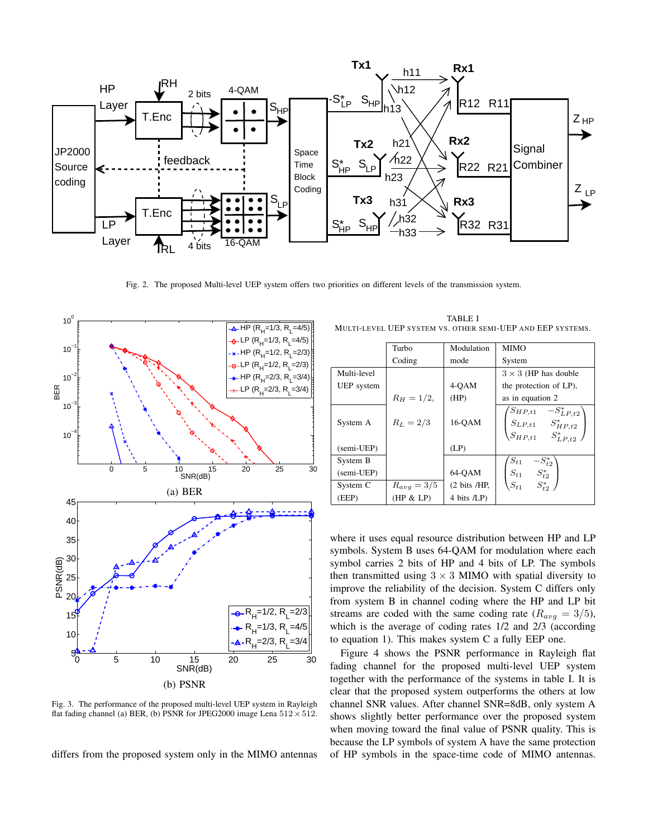

Fig. 2. The proposed Multi-level UEP system offers two priorities on different levels of the transmission system.



Fig. 3. The performance of the proposed multi-level UEP system in Rayleigh flat fading channel (a) BER, (b) PSNR for JPEG2000 image Lena  $512 \times 512$ .

differs from the proposed system only in the MIMO antennas

TABLE I MULTI-LEVEL UEP SYSTEM VS. OTHER SEMI-UEP AND EEP SYSTEMS.

|             | Turbo           | Modulation                      | <b>MIMO</b>                                                                          |
|-------------|-----------------|---------------------------------|--------------------------------------------------------------------------------------|
|             | Coding          | mode                            | System                                                                               |
| Multi-level |                 |                                 | $3 \times 3$ (HP has double                                                          |
| UEP system  |                 | 4-QAM                           | the protection of LP),                                                               |
|             | $R_H = 1/2$ ,   | (HP)                            | as in equation 2                                                                     |
| System A    | $R_L = 2/3$     | 16-OAM                          | $S_{HP,t1}$ $-S_{LP,t2}^*$<br>$S_{LP,t1}$ $S_{HP,t2}^*$<br>$S_{HP,t1}$ $S_{LP,t2}^*$ |
| (semi-UEP)  |                 | (LP)                            |                                                                                      |
| System B    |                 |                                 | $-S_{t2}^*$<br>$S_{t1}$                                                              |
| (semi-UEP)  |                 | 64-OAM                          | $S_{t1}$ $S_{t2}^*$                                                                  |
| System C    | $R_{avg} = 3/5$ | $(2 \text{ bits } / \text{HP})$ | $S_{t1}$ $S_{t2}^*$                                                                  |
| (EEP)       | (HP & LP)       | 4 bits /LP)                     |                                                                                      |

where it uses equal resource distribution between HP and LP symbols. System B uses 64-QAM for modulation where each symbol carries 2 bits of HP and 4 bits of LP. The symbols then transmitted using  $3 \times 3$  MIMO with spatial diversity to improve the reliability of the decision. System C differs only from system B in channel coding where the HP and LP bit streams are coded with the same coding rate  $(R_{avg} = 3/5)$ , which is the average of coding rates 1/2 and 2/3 (according to equation 1). This makes system C a fully EEP one.

Figure 4 shows the PSNR performance in Rayleigh flat fading channel for the proposed multi-level UEP system together with the performance of the systems in table I. It is clear that the proposed system outperforms the others at low channel SNR values. After channel SNR=8dB, only system A shows slightly better performance over the proposed system when moving toward the final value of PSNR quality. This is because the LP symbols of system A have the same protection of HP symbols in the space-time code of MIMO antennas.